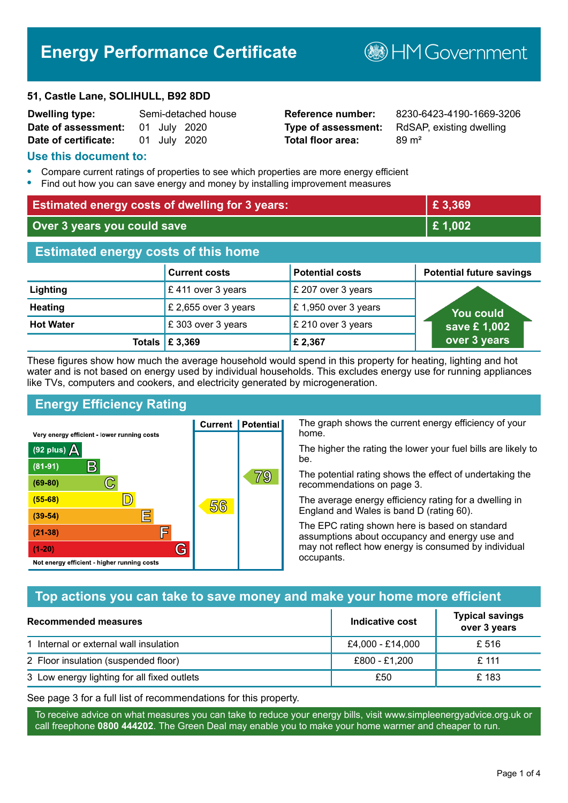# **Energy Performance Certificate**

#### **51, Castle Lane, SOLIHULL, B92 8DD**

| <b>Dwelling type:</b>            |  | Semi-detached house |
|----------------------------------|--|---------------------|
| Date of assessment: 01 July 2020 |  |                     |
| Date of certificate:             |  | 01 July 2020        |

# **Total floor area:** 89 m<sup>2</sup>

**Dwelling type:** Semi-detached house **Reference number:** 8230-6423-4190-1669-3206 **Type of assessment:** RdSAP, existing dwelling

**B**HM Government

#### **Use this document to:**

- **•** Compare current ratings of properties to see which properties are more energy efficient
- **•** Find out how you can save energy and money by installing improvement measures

| <b>Estimated energy costs of dwelling for 3 years:</b> |                           |                        | £3,369                          |
|--------------------------------------------------------|---------------------------|------------------------|---------------------------------|
| Over 3 years you could save                            |                           | £1,002                 |                                 |
| <b>Estimated energy costs of this home</b>             |                           |                        |                                 |
|                                                        | <b>Current costs</b>      | <b>Potential costs</b> | <b>Potential future savings</b> |
| Lighting                                               | £411 over 3 years         | £ 207 over 3 years     |                                 |
| <b>Heating</b>                                         | £ 2,655 over 3 years      | £1,950 over 3 years    | You could                       |
| <b>Hot Water</b>                                       | £303 over 3 years         | £ 210 over 3 years     | save £1,002                     |
|                                                        | Totals $\mathsf{E}$ 3,369 | £2,367                 | over 3 years                    |

These figures show how much the average household would spend in this property for heating, lighting and hot water and is not based on energy used by individual households. This excludes energy use for running appliances like TVs, computers and cookers, and electricity generated by microgeneration.

**Current | Potential** 

56

# **Energy Efficiency Rating**

 $\mathbb{C}$ 

 $\mathbb{D}$ 

E

庐

G

Very energy efficient - lower running costs

 $\mathsf{R}% _{T}$ 

Not energy efficient - higher running costs

(92 plus)  $\Delta$ 

 $(81 - 91)$ 

 $(69 - 80)$ 

 $(55-68)$ 

 $(39-54)$ 

 $(21-38)$ 

 $(1-20)$ 

The graph shows the current energy efficiency of your home.

The higher the rating the lower your fuel bills are likely to be.

The potential rating shows the effect of undertaking the recommendations on page 3.

The average energy efficiency rating for a dwelling in England and Wales is band D (rating 60).

The EPC rating shown here is based on standard assumptions about occupancy and energy use and may not reflect how energy is consumed by individual occupants.

## **Top actions you can take to save money and make your home more efficient**

79

| Recommended measures                        | Indicative cost  | <b>Typical savings</b><br>over 3 years |
|---------------------------------------------|------------------|----------------------------------------|
| 1 Internal or external wall insulation      | £4,000 - £14,000 | £ 516                                  |
| 2 Floor insulation (suspended floor)        | £800 - £1,200    | £ 111                                  |
| 3 Low energy lighting for all fixed outlets | £50              | £183                                   |

See page 3 for a full list of recommendations for this property.

To receive advice on what measures you can take to reduce your energy bills, visit www.simpleenergyadvice.org.uk or call freephone **0800 444202**. The Green Deal may enable you to make your home warmer and cheaper to run.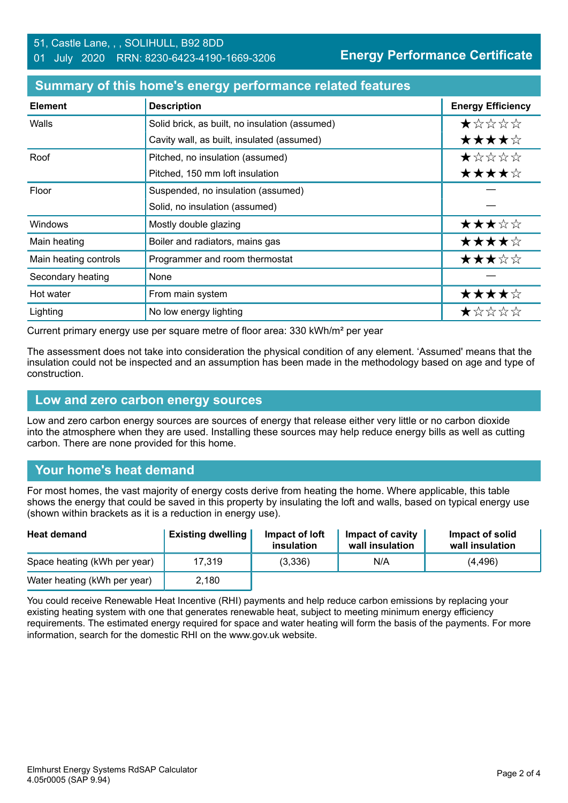#### **Summary of this home's energy performance related features**

| <b>Element</b>        | <b>Description</b>                             | <b>Energy Efficiency</b> |
|-----------------------|------------------------------------------------|--------------------------|
| Walls                 | Solid brick, as built, no insulation (assumed) | *****                    |
|                       | Cavity wall, as built, insulated (assumed)     | ★★★★☆                    |
| Roof                  | Pitched, no insulation (assumed)               | $\star$ * * * *          |
|                       | Pitched, 150 mm loft insulation                | ★★★★☆                    |
| Floor                 | Suspended, no insulation (assumed)             |                          |
|                       | Solid, no insulation (assumed)                 |                          |
| <b>Windows</b>        | Mostly double glazing                          | ★★★☆☆                    |
| Main heating          | Boiler and radiators, mains gas                | ★★★★☆                    |
| Main heating controls | Programmer and room thermostat                 | ★★★☆☆                    |
| Secondary heating     | None                                           |                          |
| Hot water             | From main system                               | ★★★★☆                    |
| Lighting              | No low energy lighting                         | ★☆☆☆☆                    |

Current primary energy use per square metre of floor area: 330 kWh/m² per year

The assessment does not take into consideration the physical condition of any element. 'Assumed' means that the insulation could not be inspected and an assumption has been made in the methodology based on age and type of construction.

#### **Low and zero carbon energy sources**

Low and zero carbon energy sources are sources of energy that release either very little or no carbon dioxide into the atmosphere when they are used. Installing these sources may help reduce energy bills as well as cutting carbon. There are none provided for this home.

## **Your home's heat demand**

For most homes, the vast majority of energy costs derive from heating the home. Where applicable, this table shows the energy that could be saved in this property by insulating the loft and walls, based on typical energy use (shown within brackets as it is a reduction in energy use).

| <b>Heat demand</b>           | <b>Existing dwelling</b> | Impact of loft<br>insulation | <b>Impact of cavity</b><br>wall insulation | Impact of solid<br>wall insulation |
|------------------------------|--------------------------|------------------------------|--------------------------------------------|------------------------------------|
| Space heating (kWh per year) | 17.319                   | (3,336)                      | N/A                                        | (4, 496)                           |
| Water heating (kWh per year) | 2,180                    |                              |                                            |                                    |

You could receive Renewable Heat Incentive (RHI) payments and help reduce carbon emissions by replacing your existing heating system with one that generates renewable heat, subject to meeting minimum energy efficiency requirements. The estimated energy required for space and water heating will form the basis of the payments. For more information, search for the domestic RHI on the www.gov.uk website.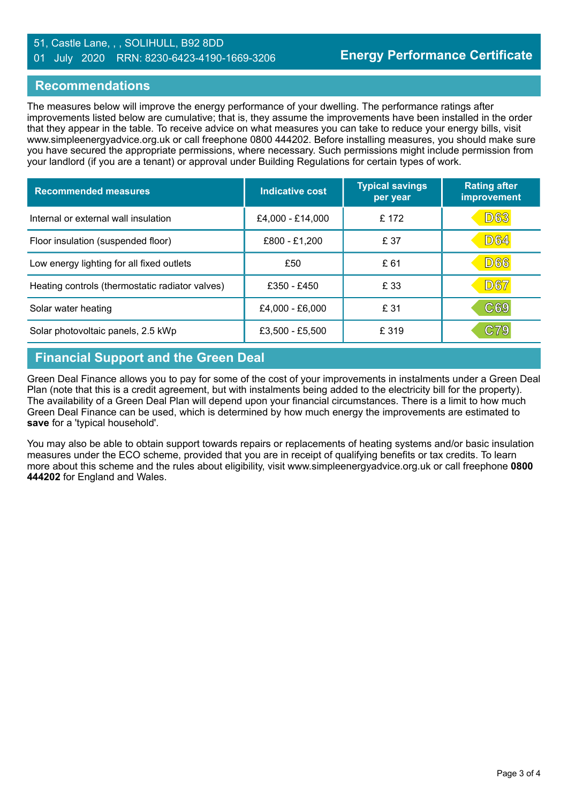#### 51, Castle Lane, , , SOLIHULL, B92 8DD 01 July 2020 RRN: 8230-6423-4190-1669-3206

#### **Recommendations**

The measures below will improve the energy performance of your dwelling. The performance ratings after improvements listed below are cumulative; that is, they assume the improvements have been installed in the order that they appear in the table. To receive advice on what measures you can take to reduce your energy bills, visit www.simpleenergyadvice.org.uk or call freephone 0800 444202. Before installing measures, you should make sure you have secured the appropriate permissions, where necessary. Such permissions might include permission from your landlord (if you are a tenant) or approval under Building Regulations for certain types of work.

| <b>Recommended measures</b>                     | Indicative cost  | <b>Typical savings</b><br>per year | <b>Rating after</b><br>improvement |
|-------------------------------------------------|------------------|------------------------------------|------------------------------------|
| Internal or external wall insulation            | £4,000 - £14,000 | £ 172                              | <b>D63</b>                         |
| Floor insulation (suspended floor)              | £800 - £1,200    | £ 37                               | <b>D64</b>                         |
| Low energy lighting for all fixed outlets       | £50              | £61                                | <b>D66</b>                         |
| Heating controls (thermostatic radiator valves) | £350 - £450      | £ 33                               | <b>D67</b>                         |
| Solar water heating                             | £4,000 - £6,000  | £ 31                               | C69                                |
| Solar photovoltaic panels, 2.5 kWp              | £3,500 - £5,500  | £ 319                              | C79                                |

# **Financial Support and the Green Deal**

Green Deal Finance allows you to pay for some of the cost of your improvements in instalments under a Green Deal Plan (note that this is a credit agreement, but with instalments being added to the electricity bill for the property). The availability of a Green Deal Plan will depend upon your financial circumstances. There is a limit to how much Green Deal Finance can be used, which is determined by how much energy the improvements are estimated to **save** for a 'typical household'.

You may also be able to obtain support towards repairs or replacements of heating systems and/or basic insulation measures under the ECO scheme, provided that you are in receipt of qualifying benefits or tax credits. To learn more about this scheme and the rules about eligibility, visit www.simpleenergyadvice.org.uk or call freephone **0800 444202** for England and Wales.